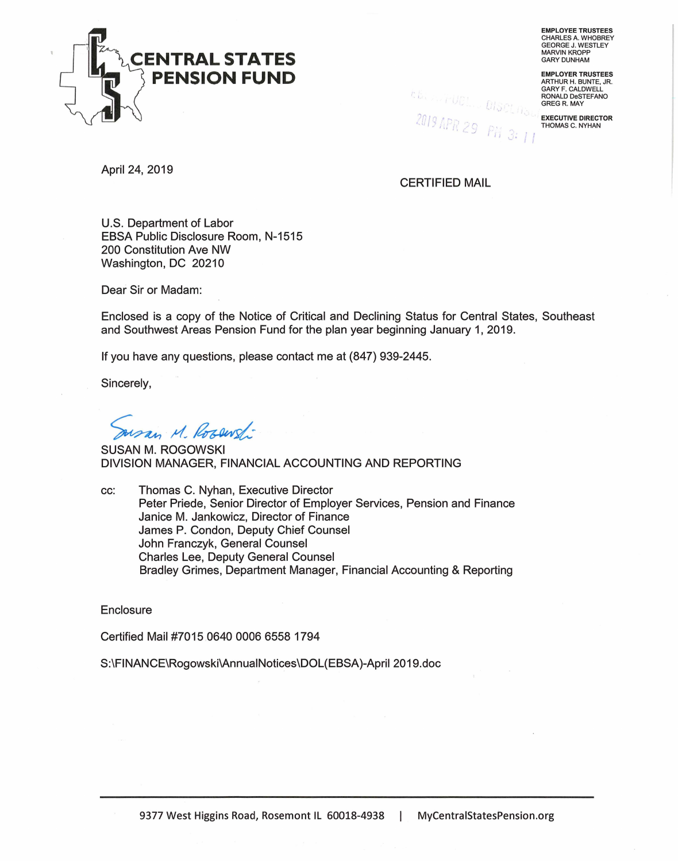

**EMPLOYEE TRUSTEES**  CHARLES A. WHOBREY GEORGE J. WESTLEY MARVIN KROPP GARY DUNHAM

**EMPLOYER TRUSTEES**  ARTHUR H. BUNTE, JR. GARY F. CALDWELL RONALD DeSTEFANO GREG R. MAY

**EXECUTIVE DIRECTOR**  THOMAS C. NYHAN

*E.G. T. T-UCL. DISCLAS* 2019 APR or .,, '~, *:* . - *<sup>J</sup>*I I I ..\_,

April 24, 2019

CERTIFIED MAIL

U.S. Department of Labor EBSA Public Disclosure Room, N-1515 200 Constitution Ave NW Washington, DC 20210

Dear Sir or Madam:

Enclosed is a copy of the Notice of Critical and Declining Status for Central States, Southeast and Southwest Areas Pension Fund for the plan year beginning January 1, 2019.

If you have any questions, please contact me at (847) 939-2445.

Sincerely,

usan M. Rosewst

SUSAN M. ROGOWSKI DIVISION MANAGER, FINANCIAL ACCOUNTING AND REPORTING

cc: Thomas C. Nyhan, Executive Director Peter Priede, Senior Director of Employer Services, Pension and Finance Janice M. Jankowicz, Director of Finance James P. Condon, Deputy Chief Counsel John Franczyk, General Counsel Charles Lee, Deputy General Counsel Bradley Grimes, Department Manager, Financial Accounting & Reporting

**Enclosure** 

Certified Mail #7015 0640 0006 6558 1794

S:\FINANCE\Rogowski\AnnualNotices\DOL(EBSA)-April 2019.doc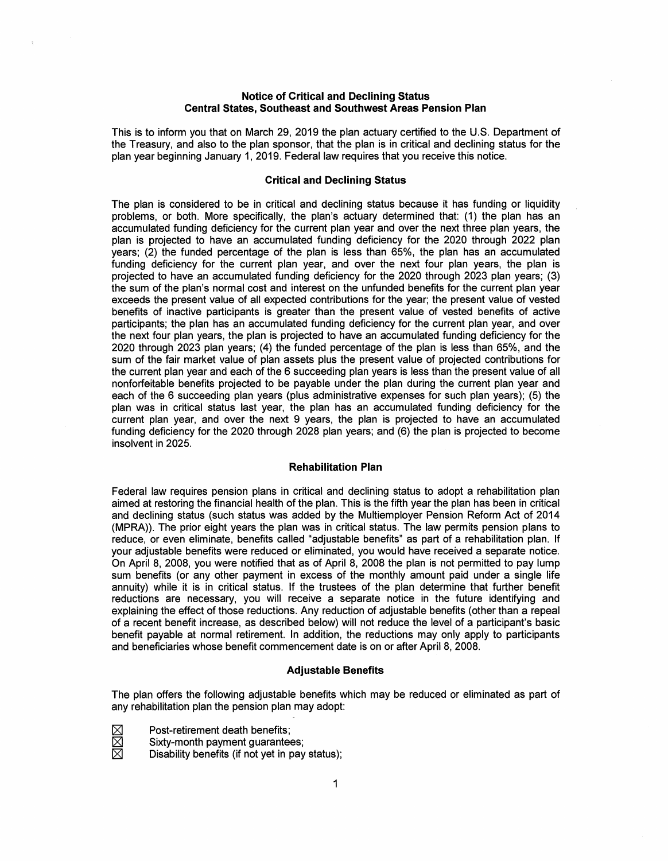### **Notice of Critical and Declining Status Central States, Southeast and Southwest Areas Pension Plan**

This is to inform you that on March 29, 2019 the plan actuary certified to the U.S. Department of the Treasury, and also to the plan sponsor, that the plan is in critical and declining status for the plan year beginning January 1, 2019. Federal law requires that you receive this notice.

## **Critical and Declining Status**

The plan is considered to be in critical and declining status because it has funding or liquidity problems, or both. More specifically, the plan's actuary determined that: (1) the plan has an accumulated funding deficiency for the current plan year and over the next three plan years, the plan is projected to have an accumulated funding deficiency for the 2020 through 2022 plan years; (2) the funded percentage of the plan is less than 65%, the plan has an accumulated funding deficiency for the current plan year, and over the next four plan years, the plan is projected to have an accumulated funding deficiency for the 2020 through 2023 plan years; (3) the sum of the plan's normal cost and interest on the unfunded benefits for the current plan year exceeds the present value of all expected contributions for the year; the present value of vested benefits of inactive participants is greater than the present value of vested benefits of active participants; the plan has an accumulated funding deficiency for the current plan year, and over the next four plan years, the plan is projected to have an accumulated funding deficiency for the 2020 through 2023 plan years; (4) the funded percentage of the plan is less than 65%, and the sum of the fair market value of plan assets plus the present value of projected contributions for the current plan year and each of the 6 succeeding plan years is less than the present value of all nonforfeitable benefits projected to be payable under the plan during the current plan year and each of the 6 succeeding plan years (plus administrative expenses for such plan years); (5) the plan was in critical status last year, the plan has an accumulated funding deficiency for the current plan year, and over the next 9 years, the plan is projected to have an accumulated funding deficiency for the 2020 through 2028 plan years; and (6) the plan is projected to become insolvent in 2025.

### **Rehabilitation Plan**

Federal law requires pension plans in critical and declining status to adopt a rehabilitation plan aimed at restoring the financial health of the plan. This is the fifth year the plan has been in critical and declining status (such status was added by the Multiemployer Pension Reform Act of 2014 (MPRA)). The prior eight years the plan was in critical status. The law permits pension plans to reduce, or even eliminate, benefits called "adjustable benefits" as part of a rehabilitation plan. If your adjustable benefits were reduced or eliminated, you would have received a separate notice. On April 8, 2008, you were notified that as of April 8, 2008 the plan is not permitted to pay lump sum benefits (or any other payment in excess of the monthly amount paid under a single life annuity) while it is in critical status. If the trustees of the plan determine that further benefit reductions are necessary, you will receive a separate notice in the future identifying and explaining the effect of those reductions. Any reduction of adjustable benefits (other than a repeal of a recent benefit increase, as described below) will not reduce the level of a participant's basic benefit payable at normal retirement. In addition, the reductions may only apply to participants and beneficiaries whose benefit commencement date is on or after April 8, 2008.

#### **Adjustable Benefits**

The plan offers the following adjustable benefits which may be reduced or eliminated as part of any rehabilitation plan the pension plan may adopt:

Post-retirement death benefits;

Sixty-month payment guarantees;

Disability benefits (if not yet in pay status);